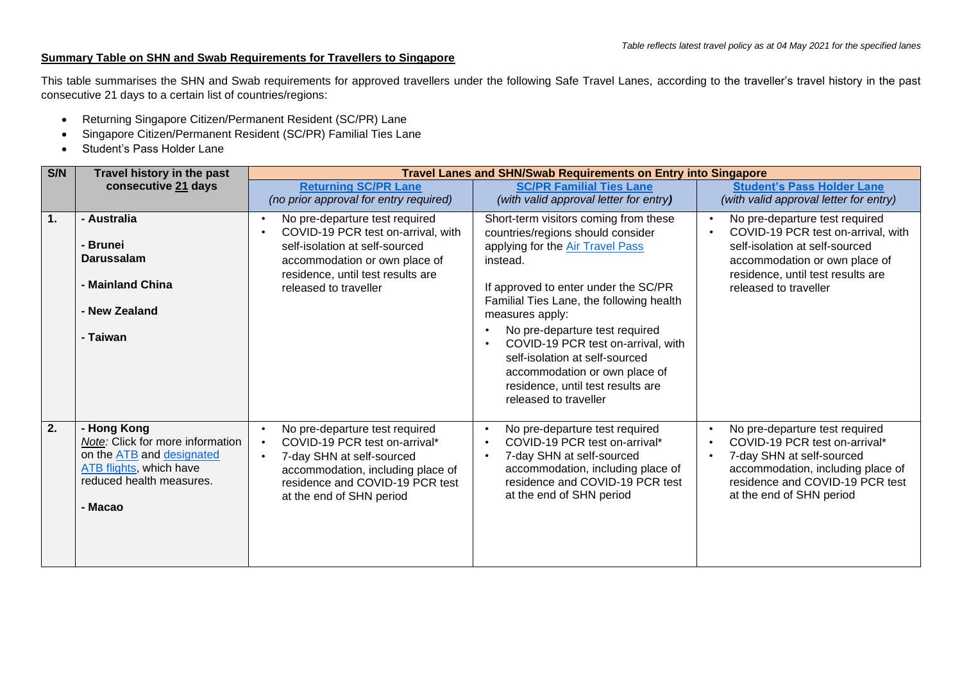## **Summary Table on SHN and Swab Requirements for Travellers to Singapore**

This table summarises the SHN and Swab requirements for approved travellers under the following Safe Travel Lanes, according to the traveller's travel history in the past consecutive 21 days to a certain list of countries/regions:

- Returning Singapore Citizen/Permanent Resident (SC/PR) Lane
- Singapore Citizen/Permanent Resident (SC/PR) Familial Ties Lane
- Student's Pass Holder Lane

| S/N | Travel history in the past                                                                                                                     | <b>Travel Lanes and SHN/Swab Requirements on Entry into Singapore</b>                                                                                                                                 |                                                                                                                                                                                                                                                                                                                                                                                                                                            |                                                                                                                                                                                                       |  |
|-----|------------------------------------------------------------------------------------------------------------------------------------------------|-------------------------------------------------------------------------------------------------------------------------------------------------------------------------------------------------------|--------------------------------------------------------------------------------------------------------------------------------------------------------------------------------------------------------------------------------------------------------------------------------------------------------------------------------------------------------------------------------------------------------------------------------------------|-------------------------------------------------------------------------------------------------------------------------------------------------------------------------------------------------------|--|
|     | consecutive 21 days                                                                                                                            | <b>Returning SC/PR Lane</b><br>(no prior approval for entry required)                                                                                                                                 | <b>SC/PR Familial Ties Lane</b><br>(with valid approval letter for entry)                                                                                                                                                                                                                                                                                                                                                                  | <b>Student's Pass Holder Lane</b><br>(with valid approval letter for entry)                                                                                                                           |  |
| 1.  | - Australia<br>- Brunei<br><b>Darussalam</b><br>- Mainland China<br>- New Zealand<br>- Taiwan                                                  | No pre-departure test required<br>COVID-19 PCR test on-arrival, with<br>self-isolation at self-sourced<br>accommodation or own place of<br>residence, until test results are<br>released to traveller | Short-term visitors coming from these<br>countries/regions should consider<br>applying for the Air Travel Pass<br>instead.<br>If approved to enter under the SC/PR<br>Familial Ties Lane, the following health<br>measures apply:<br>No pre-departure test required<br>COVID-19 PCR test on-arrival, with<br>self-isolation at self-sourced<br>accommodation or own place of<br>residence, until test results are<br>released to traveller | No pre-departure test required<br>COVID-19 PCR test on-arrival, with<br>self-isolation at self-sourced<br>accommodation or own place of<br>residence, until test results are<br>released to traveller |  |
| 2.  | - Hong Kong<br>Note: Click for more information<br>on the ATB and designated<br>ATB flights, which have<br>reduced health measures.<br>- Macao | No pre-departure test required<br>COVID-19 PCR test on-arrival*<br>7-day SHN at self-sourced<br>accommodation, including place of<br>residence and COVID-19 PCR test<br>at the end of SHN period      | No pre-departure test required<br>COVID-19 PCR test on-arrival*<br>$\bullet$<br>7-day SHN at self-sourced<br>accommodation, including place of<br>residence and COVID-19 PCR test<br>at the end of SHN period                                                                                                                                                                                                                              | No pre-departure test required<br>COVID-19 PCR test on-arrival*<br>7-day SHN at self-sourced<br>accommodation, including place of<br>residence and COVID-19 PCR test<br>at the end of SHN period      |  |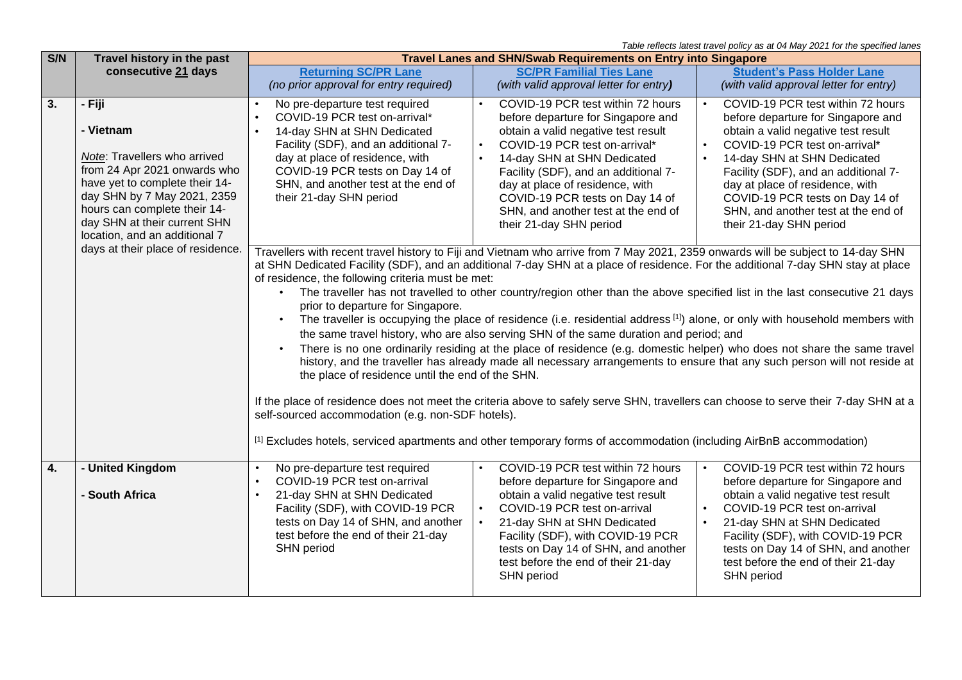*Table reflects latest travel policy as at 04 May 2021 for the specified lanes* 

| Travel history in the past                                                                                                                                                                                                     | <b>Travel Lanes and SHN/Swab Requirements on Entry into Singapore</b>                                                                                                                                                                                                                                                                                                                                                                                                                                                                                                                                                                                                                                                                                                                                                                                                                                                                                                                                                                                                                                                                                                                                                                                                                                                                                              |                                                                                                                                                                                                                                                                                  |                                                                                                                                                                                                                                                                                        |
|--------------------------------------------------------------------------------------------------------------------------------------------------------------------------------------------------------------------------------|--------------------------------------------------------------------------------------------------------------------------------------------------------------------------------------------------------------------------------------------------------------------------------------------------------------------------------------------------------------------------------------------------------------------------------------------------------------------------------------------------------------------------------------------------------------------------------------------------------------------------------------------------------------------------------------------------------------------------------------------------------------------------------------------------------------------------------------------------------------------------------------------------------------------------------------------------------------------------------------------------------------------------------------------------------------------------------------------------------------------------------------------------------------------------------------------------------------------------------------------------------------------------------------------------------------------------------------------------------------------|----------------------------------------------------------------------------------------------------------------------------------------------------------------------------------------------------------------------------------------------------------------------------------|----------------------------------------------------------------------------------------------------------------------------------------------------------------------------------------------------------------------------------------------------------------------------------------|
| consecutive 21 days                                                                                                                                                                                                            | <b>Returning SC/PR Lane</b>                                                                                                                                                                                                                                                                                                                                                                                                                                                                                                                                                                                                                                                                                                                                                                                                                                                                                                                                                                                                                                                                                                                                                                                                                                                                                                                                        | <b>SC/PR Familial Ties Lane</b>                                                                                                                                                                                                                                                  | <b>Student's Pass Holder Lane</b>                                                                                                                                                                                                                                                      |
|                                                                                                                                                                                                                                |                                                                                                                                                                                                                                                                                                                                                                                                                                                                                                                                                                                                                                                                                                                                                                                                                                                                                                                                                                                                                                                                                                                                                                                                                                                                                                                                                                    |                                                                                                                                                                                                                                                                                  | (with valid approval letter for entry)                                                                                                                                                                                                                                                 |
| - Fiji<br>- Vietnam                                                                                                                                                                                                            | No pre-departure test required<br>$\bullet$<br>COVID-19 PCR test on-arrival*                                                                                                                                                                                                                                                                                                                                                                                                                                                                                                                                                                                                                                                                                                                                                                                                                                                                                                                                                                                                                                                                                                                                                                                                                                                                                       | COVID-19 PCR test within 72 hours<br>before departure for Singapore and                                                                                                                                                                                                          | COVID-19 PCR test within 72 hours<br>$\bullet$<br>before departure for Singapore and<br>obtain a valid negative test result                                                                                                                                                            |
| Note: Travellers who arrived<br>from 24 Apr 2021 onwards who<br>have yet to complete their 14-<br>day SHN by 7 May 2021, 2359<br>hours can complete their 14-<br>day SHN at their current SHN<br>location, and an additional 7 | Facility (SDF), and an additional 7-<br>day at place of residence, with<br>COVID-19 PCR tests on Day 14 of<br>SHN, and another test at the end of<br>their 21-day SHN period                                                                                                                                                                                                                                                                                                                                                                                                                                                                                                                                                                                                                                                                                                                                                                                                                                                                                                                                                                                                                                                                                                                                                                                       | COVID-19 PCR test on-arrival*<br>14-day SHN at SHN Dedicated<br>Facility (SDF), and an additional 7-<br>day at place of residence, with<br>COVID-19 PCR tests on Day 14 of<br>SHN, and another test at the end of<br>their 21-day SHN period                                     | COVID-19 PCR test on-arrival*<br>$\bullet$<br>14-day SHN at SHN Dedicated<br>$\bullet$<br>Facility (SDF), and an additional 7-<br>day at place of residence, with<br>COVID-19 PCR tests on Day 14 of<br>SHN, and another test at the end of<br>their 21-day SHN period                 |
|                                                                                                                                                                                                                                | Travellers with recent travel history to Fiji and Vietnam who arrive from 7 May 2021, 2359 onwards will be subject to 14-day SHN<br>at SHN Dedicated Facility (SDF), and an additional 7-day SHN at a place of residence. For the additional 7-day SHN stay at place<br>of residence, the following criteria must be met:<br>The traveller has not travelled to other country/region other than the above specified list in the last consecutive 21 days<br>$\bullet$<br>prior to departure for Singapore.<br>The traveller is occupying the place of residence (i.e. residential address [1]) alone, or only with household members with<br>the same travel history, who are also serving SHN of the same duration and period; and<br>There is no one ordinarily residing at the place of residence (e.g. domestic helper) who does not share the same travel<br>history, and the traveller has already made all necessary arrangements to ensure that any such person will not reside at<br>the place of residence until the end of the SHN.<br>If the place of residence does not meet the criteria above to safely serve SHN, travellers can choose to serve their 7-day SHN at a<br>self-sourced accommodation (e.g. non-SDF hotels).<br>[1] Excludes hotels, serviced apartments and other temporary forms of accommodation (including AirBnB accommodation) |                                                                                                                                                                                                                                                                                  |                                                                                                                                                                                                                                                                                        |
|                                                                                                                                                                                                                                |                                                                                                                                                                                                                                                                                                                                                                                                                                                                                                                                                                                                                                                                                                                                                                                                                                                                                                                                                                                                                                                                                                                                                                                                                                                                                                                                                                    |                                                                                                                                                                                                                                                                                  | COVID-19 PCR test within 72 hours                                                                                                                                                                                                                                                      |
| - South Africa                                                                                                                                                                                                                 | COVID-19 PCR test on-arrival<br>$\bullet$<br>21-day SHN at SHN Dedicated<br>$\bullet$<br>Facility (SDF), with COVID-19 PCR<br>tests on Day 14 of SHN, and another<br>test before the end of their 21-day<br>SHN period                                                                                                                                                                                                                                                                                                                                                                                                                                                                                                                                                                                                                                                                                                                                                                                                                                                                                                                                                                                                                                                                                                                                             | before departure for Singapore and<br>obtain a valid negative test result<br>COVID-19 PCR test on-arrival<br>21-day SHN at SHN Dedicated<br>Facility (SDF), with COVID-19 PCR<br>tests on Day 14 of SHN, and another<br>test before the end of their 21-day<br><b>SHN</b> period | before departure for Singapore and<br>obtain a valid negative test result<br>COVID-19 PCR test on-arrival<br>$\bullet$<br>21-day SHN at SHN Dedicated<br>Facility (SDF), with COVID-19 PCR<br>tests on Day 14 of SHN, and another<br>test before the end of their 21-day<br>SHN period |
|                                                                                                                                                                                                                                | days at their place of residence.<br>- United Kingdom                                                                                                                                                                                                                                                                                                                                                                                                                                                                                                                                                                                                                                                                                                                                                                                                                                                                                                                                                                                                                                                                                                                                                                                                                                                                                                              | (no prior approval for entry required)<br>14-day SHN at SHN Dedicated<br>No pre-departure test required<br>$\bullet$                                                                                                                                                             | (with valid approval letter for entry)<br>obtain a valid negative test result<br>COVID-19 PCR test within 72 hours                                                                                                                                                                     |